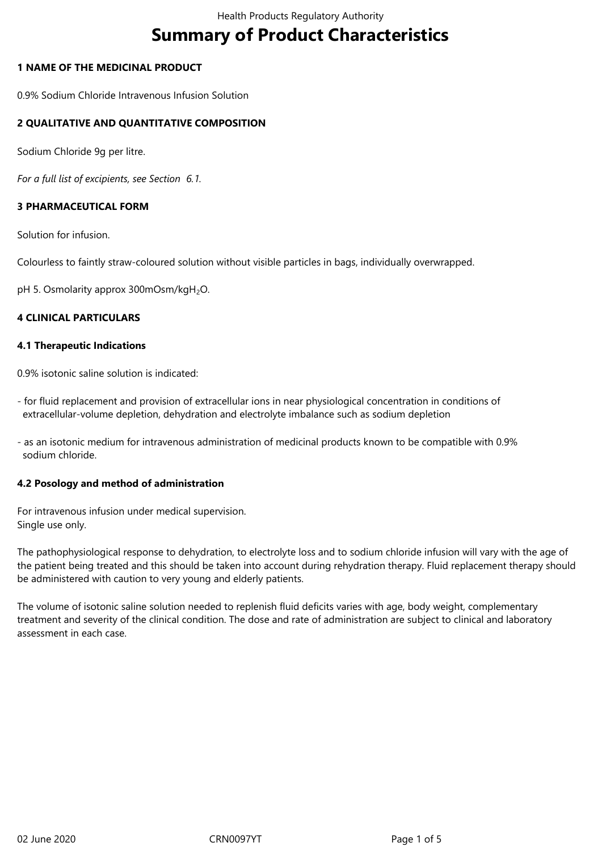# **Summary of Product Characteristics**

# **1 NAME OF THE MEDICINAL PRODUCT**

0.9% Sodium Chloride Intravenous Infusion Solution

# **2 QUALITATIVE AND QUANTITATIVE COMPOSITION**

Sodium Chloride 9g per litre.

*For a full list of excipients, see Section 6.1.*

# **3 PHARMACEUTICAL FORM**

Solution for infusion.

Colourless to faintly straw-coloured solution without visible particles in bags, individually overwrapped.

pH 5. Osmolarity approx 300mOsm/kgH<sub>2</sub>O.

## **4 CLINICAL PARTICULARS**

#### **4.1 Therapeutic Indications**

0.9% isotonic saline solution is indicated:

- for fluid replacement and provision of extracellular ions in near physiological concentration in conditions of extracellular-volume depletion, dehydration and electrolyte imbalance such as sodium depletion

- as an isotonic medium for intravenous administration of medicinal products known to be compatible with 0.9% sodium chloride.

#### **4.2 Posology and method of administration**

For intravenous infusion under medical supervision. Single use only.

The pathophysiological response to dehydration, to electrolyte loss and to sodium chloride infusion will vary with the age of the patient being treated and this should be taken into account during rehydration therapy. Fluid replacement therapy should be administered with caution to very young and elderly patients.

The volume of isotonic saline solution needed to replenish fluid deficits varies with age, body weight, complementary treatment and severity of the clinical condition. The dose and rate of administration are subject to clinical and laboratory assessment in each case.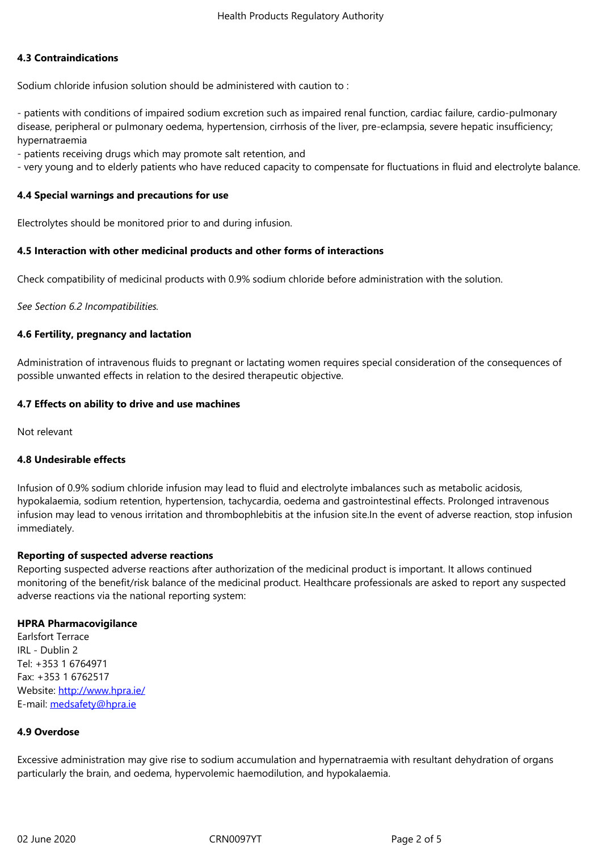#### **4.3 Contraindications**

Sodium chloride infusion solution should be administered with caution to :

- patients with conditions of impaired sodium excretion such as impaired renal function, cardiac failure, cardio-pulmonary disease, peripheral or pulmonary oedema, hypertension, cirrhosis of the liver, pre-eclampsia, severe hepatic insufficiency; hypernatraemia

- patients receiving drugs which may promote salt retention, and

- very young and to elderly patients who have reduced capacity to compensate for fluctuations in fluid and electrolyte balance.

## **4.4 Special warnings and precautions for use**

Electrolytes should be monitored prior to and during infusion.

#### **4.5 Interaction with other medicinal products and other forms of interactions**

Check compatibility of medicinal products with 0.9% sodium chloride before administration with the solution.

*See Section 6.2 Incompatibilities.*

## **4.6 Fertility, pregnancy and lactation**

Administration of intravenous fluids to pregnant or lactating women requires special consideration of the consequences of possible unwanted effects in relation to the desired therapeutic objective.

## **4.7 Effects on ability to drive and use machines**

Not relevant

#### **4.8 Undesirable effects**

Infusion of 0.9% sodium chloride infusion may lead to fluid and electrolyte imbalances such as metabolic acidosis, hypokalaemia, sodium retention, hypertension, tachycardia, oedema and gastrointestinal effects. Prolonged intravenous infusion may lead to venous irritation and thrombophlebitis at the infusion site.In the event of adverse reaction, stop infusion immediately.

#### **Reporting of suspected adverse reactions**

Reporting suspected adverse reactions after authorization of the medicinal product is important. It allows continued monitoring of the benefit/risk balance of the medicinal product. Healthcare professionals are asked to report any suspected adverse reactions via the national reporting system:

#### **HPRA Pharmacovigilance**

Earlsfort Terrace IRL - Dublin 2 Tel: +353 1 6764971 Fax: +353 1 6762517 Website: http://www.hpra.ie/ E-mail: medsafety@hpra.ie

# **4.9 Over[dose](http://www.hpra.ie/)**

Excessi[ve administration m](mailto:medsafety@hpra.ie)ay give rise to sodium accumulation and hypernatraemia with resultant dehydration of organs particularly the brain, and oedema, hypervolemic haemodilution, and hypokalaemia.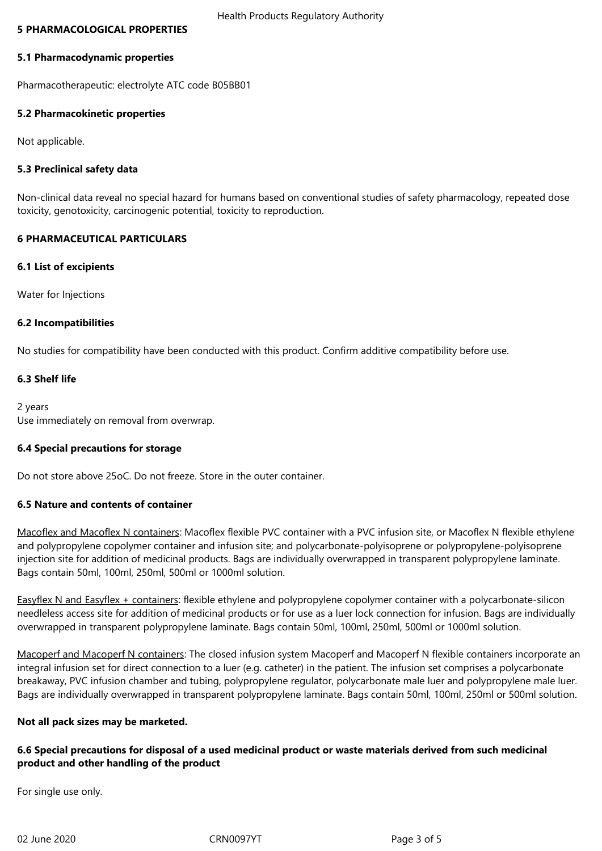#### **5 PHARMACOLOGICAL PROPERTIES**

#### **5.1 Pharmacodynamic properties**

Pharmacotherapeutic: electrolyte ATC code B05BB01

#### **5.2 Pharmacokinetic properties**

Not applicable.

## **5.3 Preclinical safety data**

Non-clinical data reveal no special hazard for humans based on conventional studies of safety pharmacology, repeated dose toxicity, genotoxicity, carcinogenic potential, toxicity to reproduction.

### **6 PHARMACEUTICAL PARTICULARS**

#### **6.1 List of excipients**

Water for Injections

#### **6.2 Incompatibilities**

No studies for compatibility have been conducted with this product. Confirm additive compatibility before use.

## **6.3 Shelf life**

2 years Use immediately on removal from overwrap.

#### **6.4 Special precautions for storage**

Do not store above 25oC. Do not freeze. Store in the outer container.

#### **6.5 Nature and contents of container**

Macoflex and Macoflex N containers: Macoflex flexible PVC container with a PVC infusion site, or Macoflex N flexible ethylene and polypropylene copolymer container and infusion site; and polycarbonate-polyisoprene or polypropylene-polyisoprene injection site for addition of medicinal products. Bags are individually overwrapped in transparent polypropylene laminate. Bags contain 50ml, 100ml, 250ml, 500ml or 1000ml solution.

Easyflex N and Easyflex + containers: flexible ethylene and polypropylene copolymer container with a polycarbonate-silicon needleless access site for addition of medicinal products or for use as a luer lock connection for infusion. Bags are individually overwrapped in transparent polypropylene laminate. Bags contain 50ml, 100ml, 250ml, 500ml or 1000ml solution.

Macoperf and Macoperf N containers: The closed infusion system Macoperf and Macoperf N flexible containers incorporate an integral infusion set for direct connection to a luer (e.g. catheter) in the patient. The infusion set comprises a polycarbonate breakaway, PVC infusion chamber and tubing, polypropylene regulator, polycarbonate male luer and polypropylene male luer. Bags are individually overwrapped in transparent polypropylene laminate. Bags contain 50ml, 100ml, 250ml or 500ml solution.

#### **Not all pack sizes may be marketed.**

# **6.6 Special precautions for disposal of a used medicinal product or waste materials derived from such medicinal product and other handling of the product**

For single use only.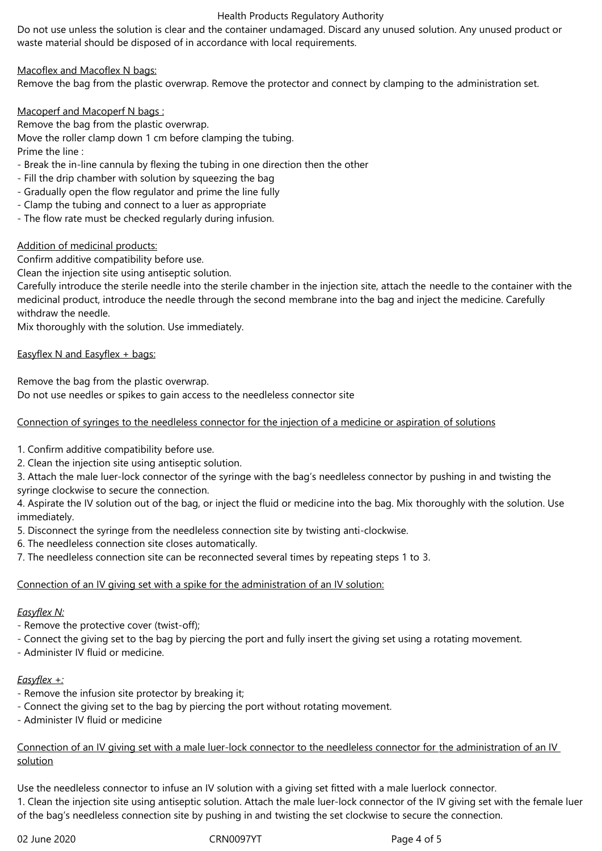### Health Products Regulatory Authority

Do not use unless the solution is clear and the container undamaged. Discard any unused solution. Any unused product or waste material should be disposed of in accordance with local requirements.

Macoflex and Macoflex N bags:

Remove the bag from the plastic overwrap. Remove the protector and connect by clamping to the administration set.

Macoperf and Macoperf N bags :

Remove the bag from the plastic overwrap. Move the roller clamp down 1 cm before clamping the tubing.

Prime the line :

- Break the in-line cannula by flexing the tubing in one direction then the other
- Fill the drip chamber with solution by squeezing the bag
- Gradually open the flow regulator and prime the line fully
- Clamp the tubing and connect to a luer as appropriate
- The flow rate must be checked regularly during infusion.

# Addition of medicinal products:

Confirm additive compatibility before use.

Clean the injection site using antiseptic solution.

Carefully introduce the sterile needle into the sterile chamber in the injection site, attach the needle to the container with the medicinal product, introduce the needle through the second membrane into the bag and inject the medicine. Carefully withdraw the needle.

Mix thoroughly with the solution. Use immediately.

# Easyflex N and Easyflex + bags:

Remove the bag from the plastic overwrap.

Do not use needles or spikes to gain access to the needleless connector site

Connection of syringes to the needleless connector for the injection of a medicine or aspiration of solutions

- 1. Confirm additive compatibility before use.
- 2. Clean the injection site using antiseptic solution.

3. Attach the male luer-lock connector of the syringe with the bag's needleless connector by pushing in and twisting the syringe clockwise to secure the connection.

4. Aspirate the IV solution out of the bag, or inject the fluid or medicine into the bag. Mix thoroughly with the solution. Use immediately.

5. Disconnect the syringe from the needleless connection site by twisting anti-clockwise.

6. The needleless connection site closes automatically.

7. The needleless connection site can be reconnected several times by repeating steps 1 to 3.

# Connection of an IV giving set with a spike for the administration of an IV solution:

# *Easyflex N:*

- Remove the protective cover (twist-off);
- Connect the giving set to the bag by piercing the port and fully insert the giving set using a rotating movement.
- Administer IV fluid or medicine.

# *Easyflex +:*

- Remove the infusion site protector by breaking it;
- Connect the giving set to the bag by piercing the port without rotating movement.
- Administer IV fluid or medicine

Connection of an IV giving set with a male luer-lock connector to the needleless connector for the administration of an IV solution

Use the needleless connector to infuse an IV solution with a giving set fitted with a male luerlock connector. 1. Clean the injection site using antiseptic solution. Attach the male luer-lock connector of the IV giving set with the female luer of the bag's needleless connection site by pushing in and twisting the set clockwise to secure the connection.